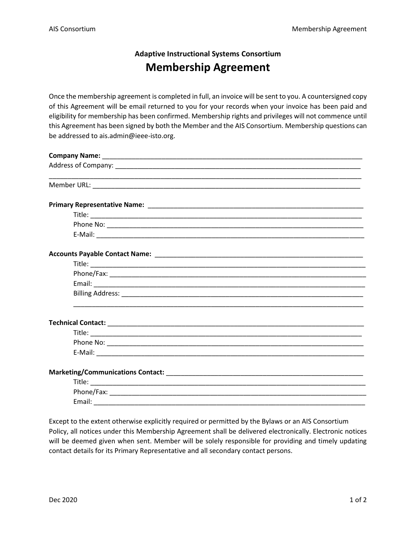## **Adaptive Instructional Systems Consortium Membership Agreement**

Once the membership agreement is completed in full, an invoice will be sent to you. A countersigned copy of this Agreement will be email returned to you for your records when your invoice has been paid and eligibility for membership has been confirmed. Membership rights and privileges will not commence until this Agreement has been signed by both the Member and the AIS Consortium. Membership questions can be addressed to ais.admin@ieee-isto.org.

| <u> 1989 - Johann Harry Harry Harry Harry Harry Harry Harry Harry Harry Harry Harry Harry Harry Harry Harry Harry</u> |
|-----------------------------------------------------------------------------------------------------------------------|
|                                                                                                                       |
|                                                                                                                       |
|                                                                                                                       |
|                                                                                                                       |
|                                                                                                                       |
|                                                                                                                       |
|                                                                                                                       |
|                                                                                                                       |
|                                                                                                                       |
|                                                                                                                       |
|                                                                                                                       |
|                                                                                                                       |
|                                                                                                                       |
|                                                                                                                       |
|                                                                                                                       |
|                                                                                                                       |
|                                                                                                                       |

Except to the extent otherwise explicitly required or permitted by the Bylaws or an AIS Consortium Policy, all notices under this Membership Agreement shall be delivered electronically. Electronic notices will be deemed given when sent. Member will be solely responsible for providing and timely updating contact details for its Primary Representative and all secondary contact persons.